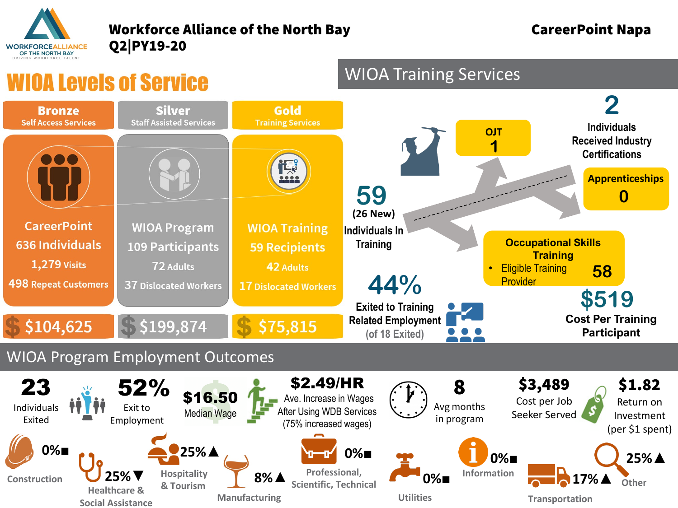

#### Workforce Alliance of the North Bay **CareerPoint Napa** Q2|PY19-20

# **IOA Levels of Service**

**Social Assistance**

# WIOA Training Services